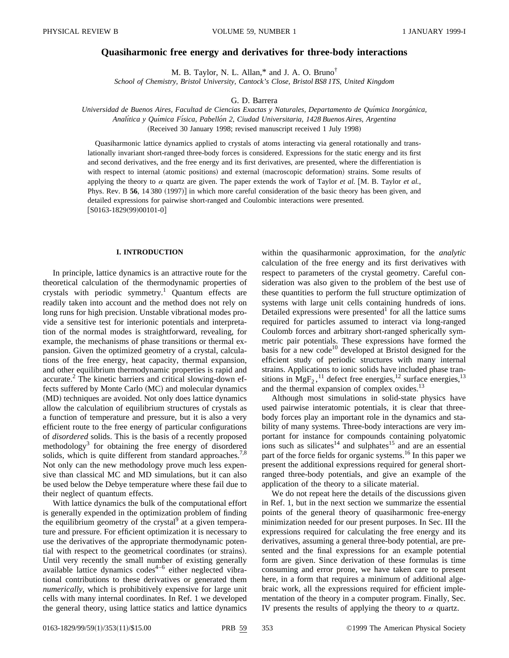# **Quasiharmonic free energy and derivatives for three-body interactions**

M. B. Taylor, N. L. Allan,\* and J. A. O. Bruno†

*School of Chemistry, Bristol University, Cantock's Close, Bristol BS8 1TS, United Kingdom*

G. D. Barrera

*Universidad de Buenos Aires, Facultad de Ciencias Exactas y Naturales, Departamento de Quı´mica Inorga´nica, Analı´tica y Quı´mica Fı´sica, Pabello´n 2, Ciudad Universitaria, 1428 Buenos Aires, Argentina* (Received 30 January 1998; revised manuscript received 1 July 1998)

Quasiharmonic lattice dynamics applied to crystals of atoms interacting via general rotationally and translationally invariant short-ranged three-body forces is considered. Expressions for the static energy and its first and second derivatives, and the free energy and its first derivatives, are presented, where the differentiation is with respect to internal (atomic positions) and external (macroscopic deformation) strains. Some results of applying the theory to  $\alpha$  quartz are given. The paper extends the work of Taylor *et al.* [M. B. Taylor *et al.*, Phys. Rev. B 56, 14 380 (1997)] in which more careful consideration of the basic theory has been given, and detailed expressions for pairwise short-ranged and Coulombic interactions were presented.  $[$ S0163-1829(99)00101-0]

## **I. INTRODUCTION**

In principle, lattice dynamics is an attractive route for the theoretical calculation of the thermodynamic properties of crystals with periodic symmetry.<sup>1</sup> Quantum effects are readily taken into account and the method does not rely on long runs for high precision. Unstable vibrational modes provide a sensitive test for interionic potentials and interpretation of the normal modes is straightforward, revealing, for example, the mechanisms of phase transitions or thermal expansion. Given the optimized geometry of a crystal, calculations of the free energy, heat capacity, thermal expansion, and other equilibrium thermodynamic properties is rapid and accurate.<sup>2</sup> The kinetic barriers and critical slowing-down effects suffered by Monte Carlo (MC) and molecular dynamics (MD) techniques are avoided. Not only does lattice dynamics allow the calculation of equilibrium structures of crystals as a function of temperature and pressure, but it is also a very efficient route to the free energy of particular configurations of *disordered* solids. This is the basis of a recently proposed methodology<sup>3</sup> for obtaining the free energy of disordered solids, which is quite different from standard approaches.<sup>7,8</sup> Not only can the new methodology prove much less expensive than classical MC and MD simulations, but it can also be used below the Debye temperature where these fail due to their neglect of quantum effects.

With lattice dynamics the bulk of the computational effort is generally expended in the optimization problem of finding the equilibrium geometry of the crystal<sup>9</sup> at a given temperature and pressure. For efficient optimization it is necessary to use the derivatives of the appropriate thermodynamic potential with respect to the geometrical coordinates (or strains). Until very recently the small number of existing generally available lattice dynamics  $\text{codes}^{4-6}$  either neglected vibrational contributions to these derivatives or generated them *numerically*, which is prohibitively expensive for large unit cells with many internal coordinates. In Ref. 1 we developed the general theory, using lattice statics and lattice dynamics

within the quasiharmonic approximation, for the *analytic* calculation of the free energy and its first derivatives with respect to parameters of the crystal geometry. Careful consideration was also given to the problem of the best use of these quantities to perform the full structure optimization of systems with large unit cells containing hundreds of ions. Detailed expressions were presented $<sup>1</sup>$  for all the lattice sums</sup> required for particles assumed to interact via long-ranged Coulomb forces and arbitrary short-ranged spherically symmetric pair potentials. These expressions have formed the basis for a new code<sup>10</sup> developed at Bristol designed for the efficient study of periodic structures with many internal strains. Applications to ionic solids have included phase transitions in  $MgF_2$ ,<sup>11</sup> defect free energies,<sup>12</sup> surface energies,<sup>13</sup> and the thermal expansion of complex oxides.<sup>13</sup>

Although most simulations in solid-state physics have used pairwise interatomic potentials, it is clear that threebody forces play an important role in the dynamics and stability of many systems. Three-body interactions are very important for instance for compounds containing polyatomic ions such as silicates<sup>14</sup> and sulphates<sup>15</sup> and are an essential part of the force fields for organic systems.<sup>16</sup> In this paper we present the additional expressions required for general shortranged three-body potentials, and give an example of the application of the theory to a silicate material.

We do not repeat here the details of the discussions given in Ref. 1, but in the next section we summarize the essential points of the general theory of quasiharmonic free-energy minimization needed for our present purposes. In Sec. III the expressions required for calculating the free energy and its derivatives, assuming a general three-body potential, are presented and the final expressions for an example potential form are given. Since derivation of these formulas is time consuming and error prone, we have taken care to present here, in a form that requires a minimum of additional algebraic work, all the expressions required for efficient implementation of the theory in a computer program. Finally, Sec. IV presents the results of applying the theory to  $\alpha$  quartz.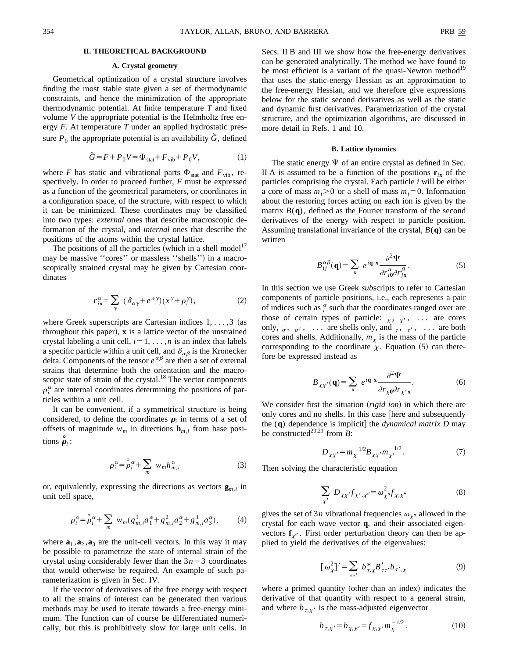# **II. THEORETICAL BACKGROUND**

# **A. Crystal geometry**

Geometrical optimization of a crystal structure involves finding the most stable state given a set of thermodynamic constraints, and hence the minimization of the appropriate thermodynamic potential. At finite temperature *T* and fixed volume *V* the appropriate potential is the Helmholtz free energy *F*. At temperature *T* under an applied hydrostatic pressure  $P_0$  the appropriate potential is an availability  $\tilde{G}$ , defined

$$
\widetilde{G} = F + P_0 V = \Phi_{\text{stat}} + F_{\text{vib}} + P_0 V,\tag{1}
$$

where *F* has static and vibrational parts  $\Phi_{stat}$  and  $F_{vib}$ , respectively. In order to proceed further, *F* must be expressed as a function of the geometrical parameters, or coordinates in a configuration space, of the structure, with respect to which it can be minimized. These coordinates may be classified into two types: *external* ones that describe macroscopic deformation of the crystal, and *internal* ones that describe the positions of the atoms within the crystal lattice.

The positions of all the particles (which in a shell model<sup>17</sup> may be massive "cores" or massless "shells") in a macroscopically strained crystal may be given by Cartesian coordinates

$$
r_{ix}^{\alpha} = \sum_{\gamma} (\delta_{\alpha\gamma} + e^{\alpha\gamma})(x^{\gamma} + \rho_i^{\gamma}), \qquad (2)
$$

where Greek superscripts are Cartesian indices  $1, \ldots, 3$  (as throughout this paper),  $x$  is a lattice vector of the unstrained crystal labeling a unit cell,  $i=1, \ldots, n$  is an index that labels a specific particle within a unit cell, and  $\delta_{\alpha\beta}$  is the Kronecker delta. Components of the tensor  $e^{\alpha\beta}$  are then a set of external strains that determine both the orientation and the macroscopic state of strain of the crystal.<sup>18</sup> The vector components  $\rho_i^{\alpha}$  are internal coordinates determining the positions of particles within a unit cell.

It can be convenient, if a symmetrical structure is being considered, to define the coordinates  $\rho_i$  in terms of a set of offsets of magnitude  $w_m$  in directions  $\mathbf{h}_{m,i}$  from base positions  $\dot{\rho}_i$ :

$$
\rho_i^{\alpha} = \stackrel{\circ}{\rho}_i^{\alpha} + \sum_m w_m h_{m,i}^{\alpha} \tag{3}
$$

or, equivalently, expressing the directions as vectors  $\mathbf{g}_{m,i}$  in unit cell space,

$$
\rho_i^{\alpha} = \stackrel{\circ}{\rho}_i^{\alpha} + \sum_m w_m (g_{m,i}^1 a_1^{\alpha} + g_{m,i}^2 a_2^{\alpha} + g_{m,i}^3 a_3^{\alpha}), \tag{4}
$$

where  $\mathbf{a}_1$ ,  $\mathbf{a}_2$ ,  $\mathbf{a}_3$  are the unit-cell vectors. In this way it may be possible to parametrize the state of internal strain of the crystal using considerably fewer than the  $3n-3$  coordinates that would otherwise be required. An example of such parameterization is given in Sec. IV.

If the vector of derivatives of the free energy with respect to all the strains of interest can be generated then various methods may be used to iterate towards a free-energy minimum. The function can of course be differentiated numerically, but this is prohibitively slow for large unit cells. In Secs. II B and III we show how the free-energy derivatives can be generated analytically. The method we have found to be most efficient is a variant of the quasi-Newton method<sup>19</sup> that uses the static-energy Hessian as an approximation to the free-energy Hessian, and we therefore give expressions below for the static second derivatives as well as the static and dynamic first derivatives. Parametrization of the crystal structure, and the optimization algorithms, are discussed in more detail in Refs. 1 and 10.

#### **B. Lattice dynamics**

The static energy  $\Psi$  of an entire crystal as defined in Sec. II A is assumed to be a function of the positions  $\mathbf{r}_{i\mathbf{x}}$  of the particles comprising the crystal. Each particle *i* will be either a core of mass  $m_i > 0$  or a shell of mass  $m_i = 0$ . Information about the restoring forces acting on each ion is given by the matrix  $B(q)$ , defined as the Fourier transform of the second derivatives of the energy with respect to particle position. Assuming translational invariance of the crystal, *B*(**q**) can be written

$$
B_{ij}^{\alpha\beta}(\mathbf{q}) = \sum_{\mathbf{x}} e^{i\mathbf{q}\cdot\mathbf{x}} \frac{\partial^2 \Psi}{\partial r_{i\mathbf{0}}^{\alpha} \partial r_{j\mathbf{x}}^{\beta}}.
$$
 (5)

In this section we use Greek *sub*scripts to refer to Cartesian components of particle positions, i.e., each represents a pair of indices such as  $\frac{\alpha}{i}$  such that the coordinates ranged over are those of certain types of particle:  $x, x', \ldots$  are cores only,  $\sigma$ ,  $\sigma'$ , ... are shells only, and  $\tau$ ,  $\tau'$ , ... are both cores and shells. Additionally,  $m<sub>\chi</sub>$  is the mass of the particle corresponding to the coordinate  $\chi$ . Equation (5) can therefore be expressed instead as

$$
B_{\chi\chi'}(\mathbf{q}) = \sum_{\mathbf{x}} e^{i\mathbf{q}\cdot\mathbf{x}} \frac{\partial^2 \Psi}{\partial r_{\chi 0} \partial r_{\chi'\mathbf{x}}}.
$$
 (6)

We consider first the situation (*rigid ion*) in which there are only cores and no shells. In this case [here and subsequently the (q) dependence is implicit] the *dynamical matrix D* may be constructed<sup>20,21</sup> from  $\overrightarrow{B}$ :

$$
D_{\chi\chi'} = m_{\chi}^{-1/2} B_{\chi\chi'} m_{\chi'}^{-1/2}.
$$
 (7)

Then solving the characteristic equation

$$
\sum_{\chi'} D_{\chi\chi'} f_{\chi',\chi''} = \omega_{\chi''}^2 f_{\chi,\chi''}
$$
 (8)

gives the set of 3*n* vibrational frequencies  $\omega_{x''}$  allowed in the crystal for each wave vector **q**, and their associated eigenvectors  $f_{x''}$ . First order perturbation theory can then be applied to yield the derivatives of the eigenvalues:

$$
[\omega_{\chi}^{2}]' = \sum_{\tau\tau'} b_{\tau,\chi}^{*} B'_{\tau\tau'} b_{\tau',\chi}
$$
 (9)

where a primed quantity (other than an index) indicates the derivative of that quantity with respect to a general strain, and where  $b_{\tau,y}$  is the mass-adjusted eigenvector

$$
b_{\tau,\chi'} = b_{\chi,\chi'} = f_{\chi,\chi'} m_{\chi}^{-1/2}.
$$
 (10)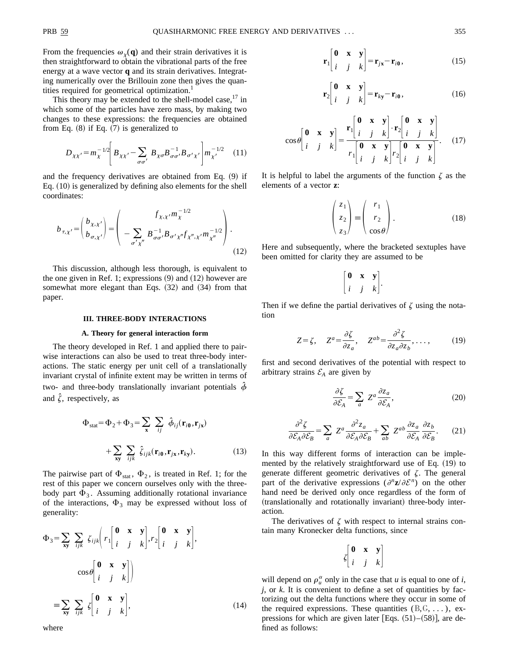From the frequencies  $\omega_{\gamma}(q)$  and their strain derivatives it is then straightforward to obtain the vibrational parts of the free energy at a wave vector **q** and its strain derivatives. Integrating numerically over the Brillouin zone then gives the quantities required for geometrical optimization.<sup>1</sup>

This theory may be extended to the shell-model case, $17$  in which some of the particles have zero mass, by making two changes to these expressions: the frequencies are obtained from Eq.  $(8)$  if Eq.  $(7)$  is generalized to

$$
D_{\chi\chi'} = m_{\chi}^{-1/2} \left[ B_{\chi\chi'} - \sum_{\sigma\sigma'} B_{\chi\sigma} B_{\sigma\sigma'}^{-1} B_{\sigma'\chi'} \right] m_{\chi'}^{-1/2} \quad (11)
$$

and the frequency derivatives are obtained from Eq.  $(9)$  if Eq.  $(10)$  is generalized by defining also elements for the shell coordinates:

$$
b_{\tau,\chi'} = \begin{pmatrix} b_{\chi,\chi'} \\ b_{\sigma,\chi'} \end{pmatrix} = \begin{pmatrix} f_{\chi,\chi'} m_{\chi}^{-1/2} \\ - \sum_{\sigma'\chi''} B_{\sigma\sigma'}^{-1} B_{\sigma'\chi''} f_{\chi'',\chi'} m_{\chi''}^{-1/2} \end{pmatrix}.
$$
\n(12)

This discussion, although less thorough, is equivalent to the one given in Ref. 1; expressions  $(9)$  and  $(12)$  however are somewhat more elegant than Eqs.  $(32)$  and  $(34)$  from that paper.

# **III. THREE-BODY INTERACTIONS**

## **A. Theory for general interaction form**

The theory developed in Ref. 1 and applied there to pairwise interactions can also be used to treat three-body interactions. The static energy per unit cell of a translationally invariant crystal of infinite extent may be written in terms of two- and three-body translationally invariant potentials  $\hat{\phi}$ and  $\hat{\zeta}$ , respectively, as

$$
\Phi_{\text{stat}} = \Phi_2 + \Phi_3 = \sum_{\mathbf{x}} \sum_{ij} \hat{\phi}_{ij}(\mathbf{r}_{i0}, \mathbf{r}_{j\mathbf{x}})
$$

$$
+ \sum_{\mathbf{x}\mathbf{y}} \sum_{ijk} \hat{\zeta}_{ijk}(\mathbf{r}_{i0}, \mathbf{r}_{j\mathbf{x}}, \mathbf{r}_{ky}). \tag{13}
$$

The pairwise part of  $\Phi_{stat}$ ,  $\Phi_2$ , is treated in Ref. 1; for the rest of this paper we concern ourselves only with the threebody part  $\Phi_3$ . Assuming additionally rotational invariance of the interactions,  $\Phi_3$  may be expressed without loss of generality:

$$
\Phi_3 = \sum_{\mathbf{x}\mathbf{y}} \sum_{ijk} \zeta_{ijk} \left( r_1 \begin{bmatrix} \mathbf{0} & \mathbf{x} & \mathbf{y} \\ i & j & k \end{bmatrix}, r_2 \begin{bmatrix} \mathbf{0} & \mathbf{x} & \mathbf{y} \\ i & j & k \end{bmatrix}, \right)
$$

$$
\cos \theta \begin{bmatrix} \mathbf{0} & \mathbf{x} & \mathbf{y} \\ i & j & k \end{bmatrix}
$$

$$
\equiv \sum_{\mathbf{x}\mathbf{y}} \sum_{ijk} \zeta \begin{bmatrix} \mathbf{0} & \mathbf{x} & \mathbf{y} \\ i & j & k \end{bmatrix}, \tag{14}
$$

$$
\mathbf{r}_{1}\begin{bmatrix} \mathbf{0} & \mathbf{x} & \mathbf{y} \\ i & j & k \end{bmatrix} = \mathbf{r}_{j\mathbf{x}} - \mathbf{r}_{i\mathbf{0}},
$$
 (15)

$$
\mathbf{r}_2 \begin{bmatrix} \mathbf{0} & \mathbf{x} & \mathbf{y} \\ i & j & k \end{bmatrix} = \mathbf{r}_{ky} - \mathbf{r}_{i\mathbf{0}},
$$
 (16)

$$
\cos\theta \begin{bmatrix} \mathbf{0} & \mathbf{x} & \mathbf{y} \\ i & j & k \end{bmatrix} = \frac{\mathbf{r}_1 \begin{bmatrix} \mathbf{0} & \mathbf{x} & \mathbf{y} \\ i & j & k \end{bmatrix} \cdot \mathbf{r}_2 \begin{bmatrix} \mathbf{0} & \mathbf{x} & \mathbf{y} \\ i & j & k \end{bmatrix}}{\mathbf{r}_1 \begin{bmatrix} \mathbf{0} & \mathbf{x} & \mathbf{y} \\ i & j & k \end{bmatrix} \mathbf{r}_2 \begin{bmatrix} \mathbf{0} & \mathbf{x} & \mathbf{y} \\ i & j & k \end{bmatrix}}.\tag{17}
$$

It is helpful to label the arguments of the function  $\zeta$  as the elements of a vector **z**:

$$
\begin{pmatrix} z_1 \\ z_2 \\ z_3 \end{pmatrix} \equiv \begin{pmatrix} r_1 \\ r_2 \\ \cos \theta \end{pmatrix} . \tag{18}
$$

Here and subsequently, where the bracketed sextuples have been omitted for clarity they are assumed to be

$$
\begin{bmatrix} \mathbf{0} & \mathbf{x} & \mathbf{y} \\ i & j & k \end{bmatrix}.
$$

Then if we define the partial derivatives of  $\zeta$  using the notation

$$
Z = \zeta, \quad Z^a = \frac{\partial \zeta}{\partial z_a}, \quad Z^{ab} = \frac{\partial^2 \zeta}{\partial z_a \partial z_b}, \dots,
$$
 (19)

first and second derivatives of the potential with respect to arbitrary strains  $\mathcal{E}_A$  are given by

$$
\frac{\partial \zeta}{\partial \mathcal{E}_A} = \sum_a Z^a \frac{\partial z_a}{\partial \mathcal{E}_A},\tag{20}
$$

$$
\frac{\partial^2 \zeta}{\partial \mathcal{E}_A \partial \mathcal{E}_B} = \sum_a Z^a \frac{\partial^2 z_a}{\partial \mathcal{E}_A \partial \mathcal{E}_B} + \sum_{ab} Z^{ab} \frac{\partial z_a}{\partial \mathcal{E}_A} \frac{\partial z_b}{\partial \mathcal{E}_B}.
$$
 (21)

In this way different forms of interaction can be implemented by the relatively straightforward use of Eq.  $(19)$  to generate different geometric derivatives of  $\zeta$ . The general part of the derivative expressions  $(\partial^n \mathbf{z}/\partial \mathcal{E}^n)$  on the other hand need be derived only once regardless of the form of (translationally and rotationally invariant) three-body interaction.

The derivatives of  $\zeta$  with respect to internal strains contain many Kronecker delta functions, since

$$
\zeta \begin{bmatrix} \mathbf{0} & \mathbf{x} & \mathbf{y} \\ i & j & k \end{bmatrix}
$$

will depend on  $\rho_u^{\alpha}$  only in the case that *u* is equal to one of *i*,  $j$ , or  $k$ . It is convenient to define a set of quantities by factorizing out the delta functions where they occur in some of the required expressions. These quantities  $(B, G, \ldots)$ , expressions for which are given later [Eqs.  $(51)–(58)$ ], are defined as follows:

where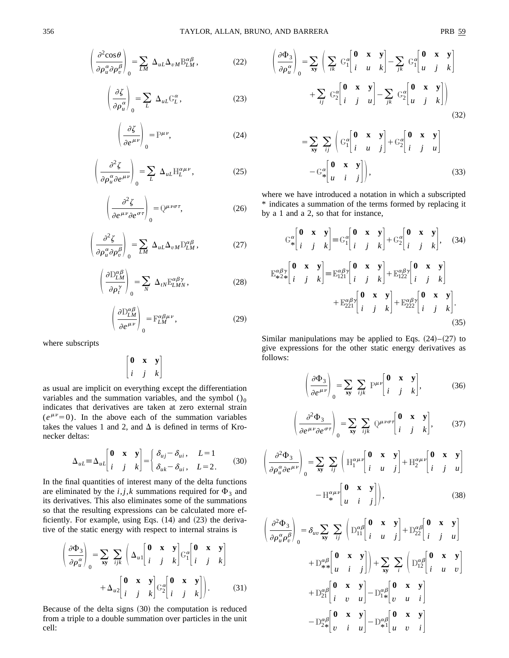$$
\left(\frac{\partial^2 \cos \theta}{\partial \rho_u^{\alpha} \partial \rho_v^{\beta}}\right)_0 = \sum_{LM} \Delta_{uL} \Delta_{vM} B_{LM}^{\alpha \beta}, \qquad (22)
$$

$$
\left(\frac{\partial \zeta}{\partial \rho_u^{\alpha}}\right)_0 = \sum_L \Delta_{uL} G_L^{\alpha},\tag{23}
$$

$$
\left(\frac{\partial \zeta}{\partial e^{\mu \nu}}\right)_0 = \mathbb{P}^{\mu \nu},\tag{24}
$$

$$
\left(\frac{\partial^2 \zeta}{\partial \rho_u^{\alpha} \partial e^{\mu \nu}}\right)_0 = \sum_L \Delta_{uL} H_L^{\alpha \mu \nu}, \qquad (25)
$$

$$
\left(\frac{\partial^2 \zeta}{\partial e^{\mu\nu}\partial e^{\sigma\tau}}\right)_0 = Q^{\mu\nu\sigma\tau},\tag{26}
$$

$$
\left(\frac{\partial^2 \zeta}{\partial \rho_u^{\alpha} \partial \rho_v^{\beta}}\right)_0 = \sum_{LM} \Delta_{uL} \Delta_{vM} D_{LM}^{\alpha \beta}, \qquad (27)
$$

$$
\left(\frac{\partial D_{LM}^{\alpha\beta}}{\partial \rho_l^{\gamma}}\right)_0 = \sum_N \ \Delta_{tN} E_{LMN}^{\alpha\beta\gamma},\tag{28}
$$

$$
\left(\frac{\partial \mathcal{D}_{LM}^{\alpha\beta}}{\partial e^{\mu\nu}}\right)_0 = \mathbb{F}_{LM}^{\alpha\beta\mu\nu},\tag{29}
$$

where subscripts

$$
\begin{bmatrix} \mathbf{0} & \mathbf{x} & \mathbf{y} \\ i & j & k \end{bmatrix}
$$

as usual are implicit on everything except the differentiation variables and the summation variables, and the symbol  $()_0$ indicates that derivatives are taken at zero external strain  $(e^{\mu\nu}=0)$ . In the above each of the summation variables takes the values 1 and 2, and  $\Delta$  is defined in terms of Kronecker deltas:

$$
\Delta_{uL} = \Delta_{uL} \begin{bmatrix} \mathbf{0} & \mathbf{x} & \mathbf{y} \\ i & j & k \end{bmatrix} = \begin{bmatrix} \delta_{uj} - \delta_{ui}, & L = 1 \\ \delta_{uk} - \delta_{ui}, & L = 2. \end{bmatrix} \tag{30}
$$

In the final quantities of interest many of the delta functions are eliminated by the  $i, j, k$  summations required for  $\Phi_3$  and its derivatives. This also eliminates some of the summations so that the resulting expressions can be calculated more efficiently. For example, using Eqs.  $(14)$  and  $(23)$  the derivative of the static energy with respect to internal strains is

$$
\left(\frac{\partial \Phi_3}{\partial \rho_u^{\alpha}}\right)_0 = \sum_{\mathbf{x}\mathbf{y}} \sum_{ijk} \left(\Delta_{u1} \begin{bmatrix} \mathbf{0} & \mathbf{x} & \mathbf{y} \\ i & j & k \end{bmatrix} G_1^{\alpha} \begin{bmatrix} \mathbf{0} & \mathbf{x} & \mathbf{y} \\ i & j & k \end{bmatrix} + \Delta_{u2} \begin{bmatrix} \mathbf{0} & \mathbf{x} & \mathbf{y} \\ i & j & k \end{bmatrix} G_2^{\alpha} \begin{bmatrix} \mathbf{0} & \mathbf{x} & \mathbf{y} \\ i & j & k \end{bmatrix} \right).
$$
 (31)

Because of the delta signs  $(30)$  the computation is reduced from a triple to a double summation over particles in the unit cell:

$$
\mathsf{PRB}:
$$

$$
\left(\frac{\partial \Phi_3}{\partial \rho_u^{\alpha}}\right)_0 = \sum_{\mathbf{x}\mathbf{y}} \left(\sum_{ik} G_1^{\alpha} \begin{bmatrix} \mathbf{0} & \mathbf{x} & \mathbf{y} \\ i & u & k \end{bmatrix} - \sum_{jk} G_1^{\alpha} \begin{bmatrix} \mathbf{0} & \mathbf{x} & \mathbf{y} \\ u & j & k \end{bmatrix} + \sum_{ij} G_2^{\alpha} \begin{bmatrix} \mathbf{0} & \mathbf{x} & \mathbf{y} \\ i & j & u \end{bmatrix} - \sum_{jk} G_2^{\alpha} \begin{bmatrix} \mathbf{0} & \mathbf{x} & \mathbf{y} \\ u & j & k \end{bmatrix}\right)
$$
\n(32)

$$
= \sum_{\mathbf{x}\mathbf{y}} \sum_{ij} \left( G_1^{\alpha} \begin{bmatrix} \mathbf{0} & \mathbf{x} & \mathbf{y} \\ i & u & j \end{bmatrix} + G_2^{\alpha} \begin{bmatrix} \mathbf{0} & \mathbf{x} & \mathbf{y} \\ i & j & u \end{bmatrix} \right)
$$

$$
- G_{*}^{\alpha} \begin{bmatrix} \mathbf{0} & \mathbf{x} & \mathbf{y} \\ u & i & j \end{bmatrix}, \qquad (33)
$$

where we have introduced a notation in which a subscripted \* indicates a summation of the terms formed by replacing it by a 1 and a 2, so that for instance,

$$
C_{*}^{\alpha} \begin{bmatrix} \mathbf{0} & \mathbf{x} & \mathbf{y} \\ i & j & k \end{bmatrix} = C_{1}^{\alpha} \begin{bmatrix} \mathbf{0} & \mathbf{x} & \mathbf{y} \\ i & j & k \end{bmatrix} + C_{2}^{\alpha} \begin{bmatrix} \mathbf{0} & \mathbf{x} & \mathbf{y} \\ i & j & k \end{bmatrix}, \quad (34)
$$

$$
E_{*2*}^{\alpha\beta\gamma} \begin{bmatrix} \mathbf{0} & \mathbf{x} & \mathbf{y} \\ i & j & k \end{bmatrix} = E_{121}^{\alpha\beta\gamma} \begin{bmatrix} \mathbf{0} & \mathbf{x} & \mathbf{y} \\ i & j & k \end{bmatrix} + E_{122}^{\alpha\beta\gamma} \begin{bmatrix} \mathbf{0} & \mathbf{x} & \mathbf{y} \\ i & j & k \end{bmatrix} + E_{221}^{\alpha\beta\gamma} \begin{bmatrix} \mathbf{0} & \mathbf{x} & \mathbf{y} \\ i & j & k \end{bmatrix} + E_{222}^{\alpha\beta\gamma} \begin{bmatrix} \mathbf{0} & \mathbf{x} & \mathbf{y} \\ i & j & k \end{bmatrix}.
$$
(35)

Similar manipulations may be applied to Eqs.  $(24)–(27)$  to give expressions for the other static energy derivatives as follows:

$$
\left(\frac{\partial \Phi_3}{\partial e^{\mu \nu}}\right)_0 = \sum_{\mathbf{x}\mathbf{y}} \sum_{ijk} P^{\mu \nu} \begin{bmatrix} \mathbf{0} & \mathbf{x} & \mathbf{y} \\ i & j & k \end{bmatrix},\tag{36}
$$

$$
\left(\frac{\partial^2 \Phi_3}{\partial e^{\mu\nu}\partial e^{\sigma\tau}}\right)_0 = \sum_{\mathbf{x}\mathbf{y}} \sum_{ijk} Q^{\mu\nu\sigma\tau} \begin{bmatrix} \mathbf{0} & \mathbf{x} & \mathbf{y} \\ i & j & k \end{bmatrix},
$$
 (37)

$$
\left(\frac{\partial^2 \Phi_3}{\partial \rho_u^{\alpha} \partial e^{\mu \nu}}\right)_0 = \sum_{\mathbf{x} \mathbf{y}} \sum_{ij} \left(\mathbb{H}_1^{\alpha \mu \nu} \begin{bmatrix} \mathbf{0} & \mathbf{x} & \mathbf{y} \\ i & u & j \end{bmatrix} + \mathbb{H}_2^{\alpha \mu \nu} \begin{bmatrix} \mathbf{0} & \mathbf{x} & \mathbf{y} \\ i & j & u \end{bmatrix} - \mathbb{H}_*^{\alpha \mu \nu} \begin{bmatrix} \mathbf{0} & \mathbf{x} & \mathbf{y} \\ u & i & j \end{bmatrix} \right),
$$
(38)

$$
\begin{pmatrix}\n\frac{\partial^2 \Phi_3}{\partial \rho_u^{\alpha} \rho_v^{\beta}}\n\end{pmatrix}_0 = \delta_{uv} \sum_{xy} \sum_{ij} \begin{pmatrix} \mathbf{D}_{11}^{\alpha\beta} \begin{bmatrix} \mathbf{0} & \mathbf{x} & \mathbf{y} \\ i & u & j \end{bmatrix} + \mathbf{D}_{22}^{\alpha\beta} \begin{bmatrix} \mathbf{0} & \mathbf{x} & \mathbf{y} \\ i & j & u \end{bmatrix} + \mathbf{D}_{**}^{\alpha\beta} \begin{bmatrix} \mathbf{0} & \mathbf{x} & \mathbf{y} \\ u & i & j \end{bmatrix} + \sum_{xy} \sum_i \begin{pmatrix} \mathbf{D}_{12}^{\alpha\beta} \begin{bmatrix} \mathbf{0} & \mathbf{x} & \mathbf{y} \\ i & u & v \end{bmatrix} \\ + \mathbf{D}_{21}^{\alpha\beta} \begin{bmatrix} \mathbf{0} & \mathbf{x} & \mathbf{y} \\ i & v & u \end{bmatrix} - \mathbf{D}_{1*}^{\alpha\beta} \begin{bmatrix} \mathbf{0} & \mathbf{x} & \mathbf{y} \\ v & u & i \end{bmatrix} \\ - \mathbf{D}_{2*}^{\alpha\beta} \begin{bmatrix} \mathbf{0} & \mathbf{x} & \mathbf{y} \\ v & i & u \end{bmatrix} - \mathbf{D}_{**}^{\alpha\beta} \begin{bmatrix} \mathbf{0} & \mathbf{x} & \mathbf{y} \\ u & v & i \end{bmatrix}
$$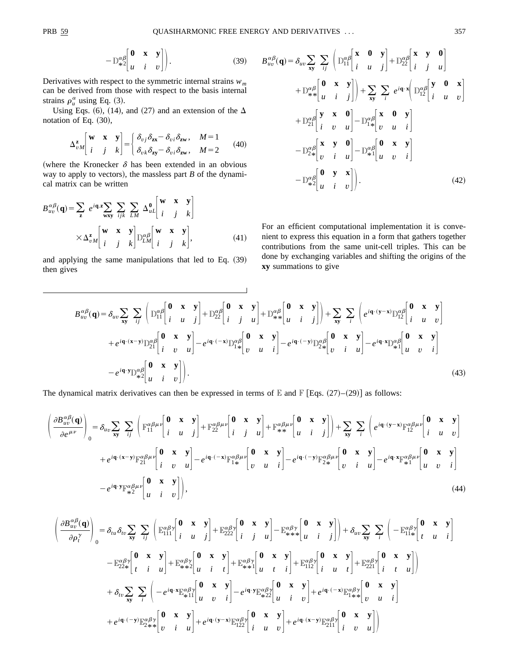$$
-D_{*2}^{\alpha\beta} \begin{bmatrix} \mathbf{0} & \mathbf{x} & \mathbf{y} \\ u & i & v \end{bmatrix}.
$$
 (39)

Derivatives with respect to the symmetric internal strains *wm* can be derived from those with respect to the basis internal strains  $\rho_u^{\alpha}$  using Eq. (3).

Using Eqs. (6), (14), and (27) and an extension of the  $\Delta$ notation of Eq.  $(30)$ ,

$$
\Delta_{vM}^{\mathbf{z}}\begin{bmatrix} \mathbf{w} & \mathbf{x} & \mathbf{y} \\ i & j & k \end{bmatrix} = \begin{cases} \delta_{vj}\delta_{\mathbf{z}\mathbf{x}} - \delta_{vi}\delta_{\mathbf{z}\mathbf{w}}, & M=1 \\ \delta_{vk}\delta_{\mathbf{z}\mathbf{y}} - \delta_{vi}\delta_{\mathbf{z}\mathbf{w}}, & M=2 \end{cases}
$$
(40)

(where the Kronecker  $\delta$  has been extended in an obvious way to apply to vectors), the massless part  $B$  of the dynamical matrix can be written

$$
B_{uv}^{\alpha\beta}(\mathbf{q}) = \sum_{\mathbf{z}} e^{i\mathbf{q} \cdot \mathbf{z}} \sum_{\mathbf{w} \mathbf{x} \mathbf{y}} \sum_{j,k} \sum_{LM} \Delta_{uL}^{\mathbf{0}} \begin{bmatrix} \mathbf{w} & \mathbf{x} & \mathbf{y} \\ i & j & k \end{bmatrix}
$$

$$
\times \Delta_{vM}^{\mathbf{z}} \begin{bmatrix} \mathbf{w} & \mathbf{x} & \mathbf{y} \\ i & j & k \end{bmatrix} \mathbb{D}_{LM}^{\alpha\beta} \begin{bmatrix} \mathbf{w} & \mathbf{x} & \mathbf{y} \\ i & j & k \end{bmatrix}, \tag{41}
$$

and applying the same manipulations that led to Eq.  $(39)$ then gives

$$
B_{uv}^{\alpha\beta}(\mathbf{q}) = \delta_{uv} \sum_{\mathbf{x}\mathbf{y}} \sum_{ij} \left( D_{11}^{\alpha\beta} \begin{bmatrix} \mathbf{x} & \mathbf{0} & \mathbf{y} \\ i & u & j \end{bmatrix} + D_{22}^{\alpha\beta} \begin{bmatrix} \mathbf{x} & \mathbf{y} & \mathbf{0} \\ i & j & u \end{bmatrix} + D_{**}^{\alpha\beta} \begin{bmatrix} \mathbf{0} & \mathbf{x} & \mathbf{y} \\ u & i & j \end{bmatrix} \right) + \sum_{\mathbf{x}\mathbf{y}} \sum_{i} e^{i\mathbf{q} \cdot \mathbf{x}} \left( D_{12}^{\alpha\beta} \begin{bmatrix} \mathbf{y} & \mathbf{0} & \mathbf{x} \\ i & u & v \end{bmatrix} \right) + D_{21}^{\alpha\beta} \begin{bmatrix} \mathbf{y} & \mathbf{x} & \mathbf{0} \\ i & v & u \end{bmatrix} - D_{1*}^{\alpha\beta} \begin{bmatrix} \mathbf{x} & \mathbf{0} & \mathbf{y} \\ v & u & i \end{bmatrix} - D_{**}^{\alpha\beta} \begin{bmatrix} \mathbf{x} & \mathbf{y} & \mathbf{0} \\ u & v & i \end{bmatrix} - D_{**}^{\alpha\beta} \begin{bmatrix} \mathbf{0} & \mathbf{x} & \mathbf{y} \\ u & v & i \end{bmatrix} - D_{**}^{\alpha\beta} \begin{bmatrix} \mathbf{0} & \mathbf{x} & \mathbf{y} \\ u & i & v \end{bmatrix}.
$$
\n(42)

 $\overline{1}$ 

For an efficient computational implementation it is convenient to express this equation in a form that gathers together contributions from the same unit-cell triples. This can be done by exchanging variables and shifting the origins of the **xy** summations to give

$$
B_{uv}^{\alpha\beta}(\mathbf{q}) = \delta_{uv} \sum_{\mathbf{x}\mathbf{y}} \sum_{ij} \left( D_{11}^{\alpha\beta} \begin{bmatrix} \mathbf{0} & \mathbf{x} & \mathbf{y} \\ i & u & j \end{bmatrix} + D_{22}^{\alpha\beta} \begin{bmatrix} \mathbf{0} & \mathbf{x} & \mathbf{y} \\ i & j & u \end{bmatrix} + D_{**}^{\alpha\beta} \begin{bmatrix} \mathbf{0} & \mathbf{x} & \mathbf{y} \\ u & i & j \end{bmatrix} \right) + \sum_{\mathbf{x}\mathbf{y}} \sum_{i} \left( e^{i\mathbf{q} \cdot (\mathbf{y} - \mathbf{x})} D_{12}^{\alpha\beta} \begin{bmatrix} \mathbf{0} & \mathbf{x} & \mathbf{y} \\ i & u & v \end{bmatrix} \right) + e^{i\mathbf{q} \cdot (\mathbf{x} - \mathbf{y})} D_{21}^{\alpha\beta} \begin{bmatrix} \mathbf{0} & \mathbf{x} & \mathbf{y} \\ i & v & u \end{bmatrix} - e^{i\mathbf{q} \cdot (-\mathbf{x})} D_{1*}^{\alpha\beta} \begin{bmatrix} \mathbf{0} & \mathbf{x} & \mathbf{y} \\ v & u & i \end{bmatrix} - e^{i\mathbf{q} \cdot (-\mathbf{y})} D_{2*}^{\alpha\beta} \begin{bmatrix} \mathbf{0} & \mathbf{x} & \mathbf{y} \\ v & i & u \end{bmatrix} - e^{i\mathbf{q} \cdot \mathbf{x}} D_{**}^{\alpha\beta} \begin{bmatrix} \mathbf{0} & \mathbf{x} & \mathbf{y} \\ u & v & i \end{bmatrix} - e^{i\mathbf{q} \cdot \mathbf{x}} D_{**}^{\alpha\beta} \begin{bmatrix} \mathbf{0} & \mathbf{x} & \mathbf{y} \\ u & v & i \end{bmatrix}
$$
  
\n
$$
- e^{i\mathbf{q} \cdot \mathbf{y}} D_{**}^{\alpha\beta} \begin{bmatrix} \mathbf{0} & \mathbf{x} & \mathbf{y} \\ u & i & v \end{bmatrix}.
$$
\n(43)

The dynamical matrix derivatives can then be expressed in terms of E and F [Eqs.  $(27)–(29)$ ] as follows:

$$
\left(\frac{\partial B_{uv}^{\alpha\beta}(\mathbf{q})}{\partial e^{\mu\nu}}\right)_{0} = \delta_{uv} \sum_{\mathbf{x}\mathbf{y}} \sum_{ij} \left( \mathbb{F}_{11}^{\alpha\beta\mu\nu} \begin{bmatrix} \mathbf{0} & \mathbf{x} & \mathbf{y} \\ i & u & j \end{bmatrix} + \mathbb{F}_{22}^{\alpha\beta\mu\nu} \begin{bmatrix} \mathbf{0} & \mathbf{x} & \mathbf{y} \\ i & j & u \end{bmatrix} + \mathbb{F}_{**}^{\alpha\beta\mu\nu} \begin{bmatrix} \mathbf{0} & \mathbf{x} & \mathbf{y} \\ u & i & j \end{bmatrix} \right) + \sum_{\mathbf{x}\mathbf{y}} \sum_{i} \left( e^{i\mathbf{q} \cdot (\mathbf{y} - \mathbf{x})} \mathbb{F}_{12}^{\alpha\beta\mu\nu} \begin{bmatrix} \mathbf{0} & \mathbf{x} & \mathbf{y} \\ i & u & v \end{bmatrix} \right) + e^{i\mathbf{q} \cdot (\mathbf{x} - \mathbf{y})} \mathbb{F}_{21}^{\alpha\beta\mu\nu} \begin{bmatrix} \mathbf{0} & \mathbf{x} & \mathbf{y} \\ i & v & u \end{bmatrix} - e^{i\mathbf{q} \cdot (-\mathbf{x})} \mathbb{F}_{1*}^{\alpha\beta\mu\nu} \begin{bmatrix} \mathbf{0} & \mathbf{x} & \mathbf{y} \\ v & u & i \end{bmatrix} - e^{i\mathbf{q} \cdot (-\mathbf{y})} \mathbb{F}_{2*}^{\alpha\beta\mu\nu} \begin{bmatrix} \mathbf{0} & \mathbf{x} & \mathbf{y} \\ v & i & u \end{bmatrix} - e^{i\mathbf{q} \cdot \mathbf{x}} \mathbb{F}_{**}^{\alpha\beta\mu\nu} \begin{bmatrix} \mathbf{0} & \mathbf{x} & \mathbf{y} \\ u & v & i \end{bmatrix} - e^{i\mathbf{q} \cdot \mathbf{y}} \mathbb{F}_{**}^{\alpha\beta\mu\nu} \begin{bmatrix} \mathbf{0} & \mathbf{x} & \mathbf{y} \\ u & v & i \end{bmatrix}
$$
  
\n
$$
- e^{i\mathbf{q} \cdot \mathbf{y}} \mathbb{F}_{**}^{\alpha\
$$

S ]*Bu<sup>v</sup>* ab ~**q**! ]r *<sup>t</sup>* <sup>g</sup> D 0 <sup>5</sup><sup>d</sup> *tu*<sup>d</sup> *<sup>t</sup>v*( **xy** ( *i j* S <sup>E</sup><sup>111</sup> abg F **0xy** *iuj* G <sup>1</sup>E<sup>222</sup> abg F **0xy** *iju*G <sup>2</sup><sup>E</sup> \*\*\* abg F **0xy** *uij* GD <sup>1</sup><sup>d</sup> *<sup>u</sup>v*( **xy** ( *<sup>i</sup>* S <sup>2</sup>E11\* abg F **0xy** *tui* G <sup>2</sup>E22\* abg F **0xy** *tiu*G <sup>1</sup><sup>E</sup> \*\*2 abg F **0xy** *uit* G <sup>1</sup><sup>E</sup> \*\*1 abg F **0xy** *uti* G <sup>1</sup>E<sup>112</sup> abg F **0xy** *iut* G <sup>1</sup>E<sup>221</sup> abg F **0xy** *itu*GD <sup>1</sup><sup>d</sup> *<sup>t</sup>v*( **xy** ( *<sup>i</sup>* S <sup>2</sup>*ei***q**•**<sup>x</sup>** E \*11 abg F **0xy** *u v i* G <sup>2</sup>*ei***q**•**<sup>y</sup>** E \*22 abg F **0xy** *u i <sup>v</sup>*G <sup>1</sup>*ei***q**•~2**x**! <sup>E</sup>1\*\* abg F **0xy** *<sup>v</sup> u i* G 1*ei***q**•~2**y**! <sup>E</sup>2\*\* abg F **0xy** *<sup>v</sup> i u*G <sup>1</sup>*ei***q**•~**y**2**x**! E<sup>122</sup> abg F **0xy** *i u <sup>v</sup>*G <sup>1</sup>*ei***q**•~**x**2**y**! E<sup>211</sup> abg F **0xy** *<sup>i</sup> <sup>v</sup> <sup>u</sup>*GD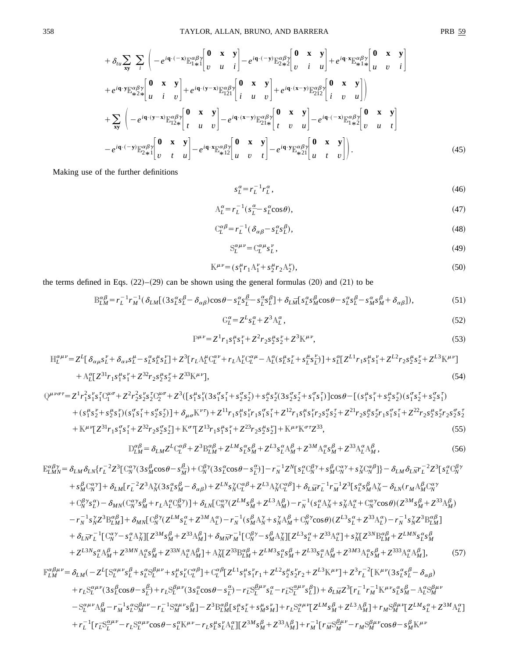$$
+ \delta_{tu} \sum_{xy} \sum_{i} \left( -e^{i\mathbf{q} \cdot (-\mathbf{x})} \mathbb{E}_{1 \pm 1}^{\alpha \beta \gamma} \begin{bmatrix} \mathbf{0} & \mathbf{x} & \mathbf{y} \\ v & u & i \end{bmatrix} - e^{i\mathbf{q} \cdot (-\mathbf{y})} \mathbb{E}_{2 \pm 2}^{\alpha \beta \gamma} \begin{bmatrix} \mathbf{0} & \mathbf{x} & \mathbf{y} \\ v & i & u \end{bmatrix} + e^{i\mathbf{q} \cdot \mathbf{x}} \mathbb{E}_{\pm 1 \pm 1}^{\alpha \beta \gamma} \begin{bmatrix} \mathbf{0} & \mathbf{x} & \mathbf{y} \\ u & v & i \end{bmatrix} + e^{i\mathbf{q} \cdot \mathbf{y}} \mathbb{E}_{\pm 2 \pm 2}^{\alpha \beta \gamma} \begin{bmatrix} \mathbf{0} & \mathbf{x} & \mathbf{y} \\ u & i & v \end{bmatrix} + e^{i\mathbf{q} \cdot (\mathbf{y} - \mathbf{x})} \mathbb{E}_{121}^{\alpha \beta \gamma} \begin{bmatrix} \mathbf{0} & \mathbf{x} & \mathbf{y} \\ i & u & v \end{bmatrix} + e^{i\mathbf{q} \cdot (\mathbf{x} - \mathbf{y})} \mathbb{E}_{212}^{\alpha \beta \gamma} \begin{bmatrix} \mathbf{0} & \mathbf{x} & \mathbf{y} \\ i & v & u \end{bmatrix} \right) + \sum_{xy} \left( -e^{i\mathbf{q} \cdot (y - x)} \mathbb{E}_{12 \pm 1}^{\alpha \beta \gamma} \begin{bmatrix} \mathbf{0} & \mathbf{x} & \mathbf{y} \\ i & u & v \end{bmatrix} - e^{i\mathbf{q} \cdot (x - y)} \mathbb{E}_{21 \pm 1}^{\alpha \beta \gamma} \begin{bmatrix} \mathbf{0} & \mathbf{x} & \mathbf{y} \\ t & v & u \end{bmatrix} - e^{i\mathbf{q} \cdot (-\mathbf{x})} \mathbb{E}_{1 \pm 2}^{\alpha \beta \gamma} \begin{bmatrix} \mathbf{0} & \mathbf{x} & \mathbf{y} \\ v & u & t \end{bmatrix} - e^{i\mathbf{q} \cdot (y - x)} \mathbb{E}_{21 \pm 1}^{\alpha \
$$

Making use of the further definitions

$$
s_L^{\alpha} = r_L^{-1} r_L^{\alpha},\tag{46}
$$

$$
A_L^{\alpha} = r_L^{-1} (s_L^{\alpha} - s_L^{\alpha} \cos \theta), \qquad (47)
$$

$$
C_L^{\alpha\beta} = r_L^{-1} (\delta_{\alpha\beta} - s_L^{\alpha} s_L^{\beta}), \tag{48}
$$

$$
S_L^{\alpha\mu\nu} = C_L^{\alpha\mu} s_L^{\nu},\tag{49}
$$

$$
\mathbb{K}^{\mu\nu} = (s_1^{\mu} r_1 \mathbf{A}_1^{\nu} + s_2^{\mu} r_2 \mathbf{A}_2^{\nu}),\tag{50}
$$

the terms defined in Eqs.  $(22)–(29)$  can be shown using the general formulas  $(20)$  and  $(21)$  to be

$$
\mathbb{B}_{LM}^{\alpha\beta} = r_L^{-1} r_M^{-1} (\delta_{LM} [(3s_L^{\alpha} s_L^{\beta} - \delta_{\alpha\beta}) \cos \theta - s_L^{\alpha} s_L^{\beta} - s_L^{\alpha} s_L^{\beta}] + \delta_{L\bar{M}} [s_L^{\alpha} s_M^{\beta} \cos \theta - s_L^{\alpha} s_L^{\beta} - s_M^{\alpha} s_M^{\beta} + \delta_{\alpha\beta}]),
$$
\n(51)

$$
G_L^{\alpha} = Z^L s_L^{\alpha} + Z^3 A_L^{\alpha},\tag{52}
$$

$$
\mathbb{P}^{\mu\nu} = Z^1 r_1 s_1^{\mu} s_1^{\nu} + Z^2 r_2 s_2^{\mu} s_2^{\nu} + Z^3 \mathbb{K}^{\mu\nu},\tag{53}
$$

$$
H_L^{\alpha\mu\nu} = Z^L[\delta_{\alpha\mu}s_L^{\nu} + \delta_{\alpha\nu}s_L^{\mu} - s_L^{\alpha}s_L^{\mu}s_L^{\nu}] + Z^3[r_L A_L^{\mu}C_L^{\alpha\nu} + r_L A_L^{\nu}C_L^{\alpha\mu} - A_L^{\alpha}(s_L^{\mu}s_L^{\nu} + s_L^{\mu}s_L^{\nu})] + s_L^{\alpha}[Z^{L1}r_1s_1^{\mu}s_1^{\nu} + Z^{L2}r_2s_2^{\mu}s_2^{\nu} + Z^{L3}\mathbb{K}^{\mu\nu}]
$$
  
+ 
$$
A_L^{\alpha}[Z^{31}r_1s_1^{\mu}s_1^{\nu} + Z^{32}r_2s_2^{\mu}s_2^{\nu} + Z^{33}\mathbb{K}^{\mu\nu}],
$$
 (54)

$$
Q^{\mu\nu\sigma\tau} = Z^{1}r_{1}^{2}s_{1}^{v}s_{1}^{r}C_{1}^{\mu\sigma} + Z^{2}r_{2}^{2}s_{2}^{v}s_{2}^{r}C_{2}^{\mu\sigma} + Z^{3}([s_{1}^{\mu}s_{1}^{v}(3s_{1}^{\sigma}s_{1}^{\tau} + s_{2}^{\sigma}s_{2}^{\tau}) + s_{2}^{\mu}s_{2}^{v}(3s_{2}^{\sigma}s_{2}^{\tau} + s_{1}^{\sigma}s_{1}^{\tau})]\cos\theta - [(s_{1}^{\mu}s_{1}^{\nu} + s_{2}^{\mu}s_{2}^{\nu})(s_{1}^{\sigma}s_{2}^{\tau} + s_{2}^{\sigma}s_{1}^{\tau}) + (s_{1}^{\mu}s_{2}^{\nu} + s_{2}^{\mu}s_{1}^{\nu})(s_{1}^{\sigma}s_{1}^{\tau} + s_{2}^{\sigma}s_{2}^{\tau})] + \delta_{\mu\sigma}\mathbb{K}^{\nu\tau}) + Z^{11}r_{1}s_{1}^{\mu}s_{1}^{v}r_{1}s_{1}^{\sigma}s_{1}^{\tau} + Z^{12}r_{1}s_{1}^{\mu}s_{1}^{v}r_{2}s_{2}^{\sigma}s_{2}^{\tau} + Z^{21}r_{2}s_{2}^{\mu}s_{2}^{\nu}r_{1}s_{1}^{\sigma}s_{1}^{\tau} + Z^{22}r_{2}s_{2}^{\mu}s_{2}^{\nu}r_{2}s_{2}^{\sigma}s_{2}^{\tau}) + \mathbb{K}^{\mu\nu}[\mathbb{Z}^{31}r_{1}s_{1}^{\sigma}s_{1}^{\tau} + \mathbb{Z}^{32}r_{2}s_{2}^{\sigma}s_{2}^{\tau}] + \mathbb{K}^{\sigma\tau}[\mathbb{Z}^{13}r_{1}s_{1}^{\mu}s_{1}^{\mu} + \mathbb{Z}^{23}r_{2}s_{2}^{\mu}s_{2}^{\nu}] + \mathbb{K}^{\mu\nu}\mathbb{K}^{\sigma\tau}\mathbb{Z}^{33}, \tag{55}
$$

$$
\mathcal{D}_{LM}^{\alpha\beta} = \delta_{LM} Z^L \mathcal{C}_L^{\alpha\beta} + Z^3 \mathcal{B}_{LM}^{\alpha\beta} + Z^{LM} s_L^{\alpha} s_M^{\beta} + Z^{L3} s_L^{\alpha} \mathcal{A}_M^{\beta} + Z^{3M} \mathcal{A}_L^{\alpha} s_M^{\beta} + Z^{33} \mathcal{A}_L^{\alpha} \mathcal{A}_M^{\beta},\tag{56}
$$

$$
\mathbb{E}^{\alpha\beta\gamma}_{LMN} = \delta_{LM}\delta_{LN}\{r_L^{-2}Z^3[\mathcal{C}_N^{\alpha\gamma}(3s_M^{\beta}\cos\theta - s_M^{\beta}) + \mathcal{C}_N^{\beta\gamma}(3s_L^{\alpha}\cos\theta - s_L^{\alpha})] - r_N^{-1}Z^N[s_L^{\alpha}\mathcal{C}_N^{\beta\gamma} + s_M^{\beta}\mathcal{C}_N^{\alpha\gamma} + s_N^{\gamma}\mathcal{C}_N^{\alpha\beta}] \} - \delta_{LM}\delta_{LN}r_L^{-2}Z^3[s_L^{\alpha}\mathcal{C}_N^{\beta\gamma} + s_M^{\beta}\mathcal{C}_N^{\alpha\gamma}] + \delta_{LM}[r_L^{-2}Z^3\mathcal{A}_N^{\gamma}(3s_L^{\alpha}s_M^{\beta} - \delta_{\alpha\beta}) + Z^{LN}s_N^{\gamma}\mathcal{C}_L^{\alpha\beta} + Z^{L3}\mathcal{A}_N^{\gamma}\mathcal{C}_L^{\alpha\beta}] + \delta_{L\bar{M}}r_L^{-1}r_M^{-1}Z^3[s_L^{\alpha}s_M^{\beta}A_N^{\gamma} - \delta_{LN}(r_M\mathcal{A}_M^{\beta}\mathcal{C}_N^{\alpha\gamma} + \mathcal{C}_N^{\beta\gamma}s_L^{\alpha}) - \delta_{MN}(\mathcal{C}_N^{\alpha\gamma}s_M^{\beta} + r_L\mathcal{A}_L^{\alpha}\mathcal{C}_N^{\beta\gamma})] + \delta_{LN}[\mathcal{C}_N^{\alpha\gamma}(Z^{LM}s_M^{\beta} + Z^{L3}\mathcal{A}_M^{\beta}) - r_N^{-1}(s_L^{\alpha}\mathcal{A}_N^{\gamma} + s_N^{\gamma}\mathcal{A}_L^{\alpha} + \mathcal{C}_N^{\alpha\gamma}\cos\theta)(Z^{3M}s_M^{\beta} + Z^{33}\mathcal{A}_M^{\beta}) - r_N^{-1}s_N^{\gamma}Z^3\mathcal{B}_L^{\alpha\beta}] + \delta_{MN}[\mathcal{C}_N^{\beta\gamma}(Z^{LM}s_L^{\alpha} + Z^{3M}\mathcal{A}_L^{\alpha}) - r_N^{-1}(s_M^{\beta}\mathcal{A}_N^{\gamma} + s_N^{\gamma}\mathcal{A}_M^{\beta} + \mathcal{C}_N^{\beta\gamma}\cos\theta)(Z^{L3}s_L^{\alpha} + Z^{33}\mathcal{A}_L^{\alpha}) - r_N^{-1}s_N^{\gamma}Z^3\mathcal{B}_L^
$$

$$
\begin{split} \mathbf{F}_{LM}^{\alpha\beta\mu\nu} &= \delta_{LM} \big( -Z^L [\mathbf{S}_L^{\alpha\mu\nu} s_L^{\beta} + s_L^{\alpha} \mathbf{S}_L^{\beta\mu\nu} + s_L^{\mu} s_L^{\nu} \mathbf{C}_L^{\alpha\beta}] + \mathbf{C}_L^{\alpha\beta} [Z^{L1} s_1^{\mu} s_1^{\nu} r_1 + Z^{L2} s_2^{\mu} s_2^{\nu} r_2 + Z^{L3} \mathbf{K}^{\mu\nu}] + Z^3 r_L^{-2} [\mathbf{K}^{\mu\nu} (3 s_L^{\alpha} s_L^{\beta} - \delta_{\alpha\beta}) \\ &+ r_L \mathbf{S}_L^{\alpha\mu\nu} (3 s_L^{\beta} \cos \theta - s_L^{\beta}) + r_L \mathbf{S}_L^{\beta\mu\nu} (3 s_L^{\alpha} \cos \theta - s_L^{\alpha}) - r_L \mathbf{S}_L^{\beta\mu\nu} s_L^{\alpha} - r_L \mathbf{S}_L^{\alpha\mu\nu} s_L^{\beta}] \big) + \delta_{L\bar{M}} Z^3 [r_L^{-1} r_M^{-1} \mathbf{K}^{\mu\nu} s_L^{\alpha} s_R^{\beta} - \mathbf{A}_L^{\alpha} \mathbf{S}_M^{\mu\nu} \\ &- \mathbf{S}_L^{\alpha\mu\nu} \mathbf{A}_M^{\beta} - r_M^{-1} s_L^{\alpha} \mathbf{S}_M^{\beta\mu\nu} - r_L^{-1} \mathbf{S}_M^{\alpha\mu\nu} s_M^{\beta}] - Z^3 \mathbf{B}_L^{\alpha\beta} [s_L^{\mu} s_L^{\nu} + s_M^{\mu} s_M^{\nu}] + r_L \mathbf{S}_L^{\alpha\mu\nu} [Z^{LM} s_M^{\beta} + Z^{L3} \mathbf{A}_M^{\beta}] + r_M \mathbf{S}_M^{\beta\mu\nu} [Z^{LM} s_L^{\alpha} + Z^{3M} \mathbf{A}_L^{\alpha}] \\ &+ r_L^{-1} [r_L \mathbf{S}_L^{\alpha\mu\nu} - r_L \mathbf{S}_L^{\alpha\mu\nu} \cos \theta - s_L^{\alpha} \mathbf{K}^{\mu\nu} - r_L s_L^{\mu} s_L^{\nu} \mathbf{A}_L^{\alpha}] [Z^{3M} s_M^{\beta}
$$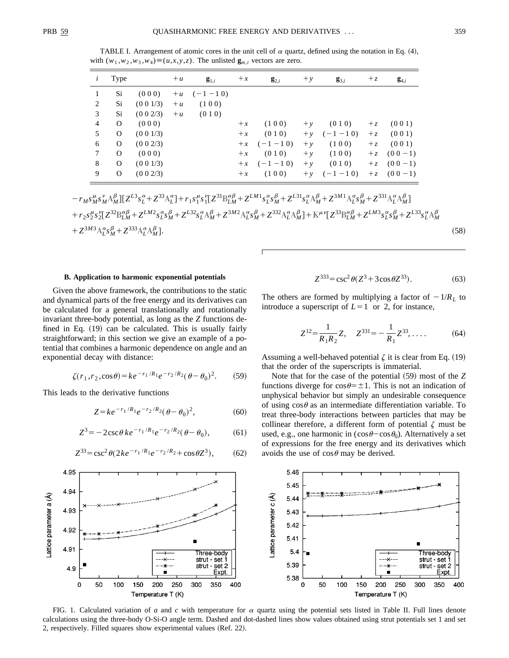TABLE I. Arrangement of atomic cores in the unit cell of  $\alpha$  quartz, defined using the notation in Eq. (4), with  $(w_1, w_2, w_3, w_4) \equiv (u, x, y, z)$ . The unlisted  $\mathbf{g}_{m,i}$  vectors are zero.

| i      | Type         |           | $+u$ | $\mathbf{g}_{1,i}$ | $+x$ | $\mathbf{g}_{2,i}$ | $+y$ | $\mathbf{g}_{3,i}$ | $+z$  | $\mathbf{g}_{4,i}$ |
|--------|--------------|-----------|------|--------------------|------|--------------------|------|--------------------|-------|--------------------|
| 1      | Si           | (000)     |      | $+u$ $(-1-10)$     |      |                    |      |                    |       |                    |
| 2      | Si.          | (0 0 1/3) | $+u$ | (100)              |      |                    |      |                    |       |                    |
| 3      | Si           | (0 0 2/3) | $+u$ | (010)              |      |                    |      |                    |       |                    |
| 4      | $\mathbf{O}$ | (000)     |      |                    | $+x$ | (100)              | $+y$ | (010)              | $+ z$ | (001)              |
| 5      | $\Omega$     | (0 0 1/3) |      |                    | $+x$ | (010)              | $+y$ | $(-1 - 1)$         | $+ z$ | (001)              |
| 6      | $\Omega$     | (0 0 2/3) |      |                    | $+x$ | $(-1 - 1 0)$       | $+y$ | (100)              | $+ z$ | (001)              |
| $\tau$ | O            | (000)     |      |                    | $+x$ | (010)              | $+y$ | (100)              | $+ z$ | $(00-1)$           |
| 8      | $\Omega$     | (0 0 1/3) |      |                    | $+x$ | $(-1 - 1 0)$       | $+y$ | (010)              | $+ z$ | $(00-1)$           |
| 9      | $\Omega$     | (0 0 2/3) |      |                    | $+x$ | (100)              |      | $+y$ $(-1 - 1 0)$  | $+ z$ | $(00-1)$           |

 $\hskip0.5cm - r_{M}s_{M}^{\mu}s_{M}^{\nu}A_{M}^{\beta}][Z^{L3}s_{L}^{\alpha} + Z^{33}\mathcal{A}_{L}^{\alpha}] + r_{1}s_{1}^{\mu}s_{1}^{\nu}[Z^{31}\mathcal{B}_{LM}^{\alpha\beta} + Z^{LM1}s_{L}^{\alpha}s_{M}^{\beta} + Z^{L31}s_{L}^{\alpha}\mathcal{A}_{M}^{\beta} + Z^{3M1}\mathcal{A}_{L}^{\alpha}s_{M}^{\beta} + Z^{331}\mathcal{A}_{L}^{\alpha}\mathcal{A}_{M}^{\beta}]$  $\hspace*{50pt} +r_{2}s_{2}^{\mu}s_{2}^{\nu}[Z^{32}\mathbb{B}_{LM}^{\alpha\beta}+Z^{LM2}s_{L}^{\alpha}s_{M}^{\beta}+Z^{L32}s_{L}^{\alpha}\mathbb{A}_{M}^{\beta}+Z^{3M2}\mathbb{A}_{L}^{\alpha}s_{M}^{\beta}+Z^{332}\mathbb{A}_{L}^{\alpha}\mathbb{A}_{M}^{\beta}]+\mathbb{K}^{\mu\nu}[Z^{33}\mathbb{B}_{LM}^{\alpha\beta}+Z^{LM3}s_{L}^{\alpha}s_{M}^{\beta}+Z^{L33}s_{L}^{\alpha}\mathbb{A}_{M}^{\beta}$  $+Z^{3M3}A_L^{\alpha} s_M^{\beta}+Z^{333}A_L^{\alpha}A_M^{\beta}$  $\beta_{M}$ ]. (58)

#### **B. Application to harmonic exponential potentials**

Given the above framework, the contributions to the static and dynamical parts of the free energy and its derivatives can be calculated for a general translationally and rotationally invariant three-body potential, as long as the *Z* functions defined in Eq.  $(19)$  can be calculated. This is usually fairly straightforward; in this section we give an example of a potential that combines a harmonic dependence on angle and an exponential decay with distance:

$$
\zeta(r_1, r_2, \cos \theta) = ke^{-r_1/R_1}e^{-r_2/R_2}(\theta - \theta_0)^2. \tag{59}
$$

This leads to the derivative functions

$$
Z = ke^{-r_1/R_1}e^{-r_2/R_2}(\theta - \theta_0)^2, \tag{60}
$$

$$
Z^3 = -2\csc\theta \, ke^{-r_1/R_1} e^{-r_2/R_2} (\theta - \theta_0),\tag{61}
$$

$$
Z^{33} = \csc^2 \theta (2ke^{-r_1/R_1}e^{-r_2/R_2} + \cos \theta Z^3), \tag{62}
$$

$$
Z^{333} = \csc^2 \theta (Z^3 + 3\cos \theta Z^{33}).
$$
 (63)

The others are formed by multiplying a factor of  $-1/R<sub>L</sub>$  to introduce a superscript of  $L=1$  or 2, for instance,

$$
Z^{12} = \frac{1}{R_1 R_2} Z, \quad Z^{331} = -\frac{1}{R_1} Z^{33}, \dots
$$
 (64)

Assuming a well-behaved potential  $\zeta$  it is clear from Eq. (19) that the order of the superscripts is immaterial.

Note that for the case of the potential (59) most of the *Z* functions diverge for  $\cos\theta = \pm 1$ . This is not an indication of unphysical behavior but simply an undesirable consequence of using  $\cos\theta$  as an intermediate differentiation variable. To treat three-body interactions between particles that may be collinear therefore, a different form of potential  $\zeta$  must be used, e.g., one harmonic in  $(\cos\theta - \cos\theta_0)$ . Alternatively a set of expressions for the free energy and its derivatives which avoids the use of  $\cos\theta$  may be derived.



FIG. 1. Calculated variation of *a* and *c* with temperature for  $\alpha$  quartz using the potential sets listed in Table II. Full lines denote calculations using the three-body O-Si-O angle term. Dashed and dot-dashed lines show values obtained using strut potentials set 1 and set 2, respectively. Filled squares show experimental values (Ref. 22).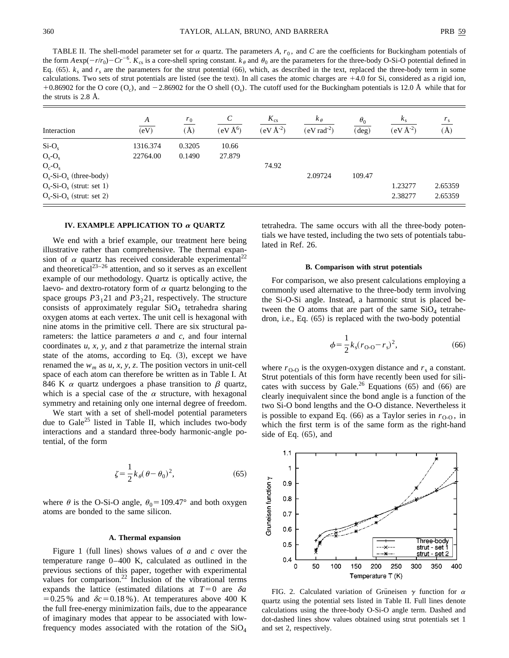TABLE II. The shell-model parameter set for  $\alpha$  quartz. The parameters A,  $r_0$ , and C are the coefficients for Buckingham potentials of the form  $A \exp(-r/r_0) - Cr^{-6}$ .  $K_{cs}$  is a core-shell spring constant.  $k_{\theta}$  and  $\theta_0$  are the parameters for the three-body O-Si-O potential defined in Eq.  $(65)$ .  $k_s$  and  $r_s$  are the parameters for the strut potential  $(66)$ , which, as described in the text, replaced the three-body term in some calculations. Two sets of strut potentials are listed (see the text). In all cases the atomic charges are  $+4.0$  for Si, considered as a rigid ion,  $+0.86902$  for the O core (O<sub>c</sub>), and  $-2.86902$  for the O shell (O<sub>s</sub>). The cutoff used for the Buckingham potentials is 12.0 Å while that for the struts is 2.8 Å.

| Interaction                 | A<br>$\overline{(eV)}$ | $r_0$<br>$(\AA)$ | C<br>$(eV \AA^6)$ | $K_{\rm cs}$<br>$(eV \AA^{-2})$ | $k_{\theta}$<br>$(eV rad-2)$ | $\theta_0$<br>$(\text{deg})$ | $k_{\rm s}$<br>$(eV \AA^{-2})$ | $r_{\rm s}$<br>$\rm (\AA)$ |
|-----------------------------|------------------------|------------------|-------------------|---------------------------------|------------------------------|------------------------------|--------------------------------|----------------------------|
| $Si-O_s$                    | 1316.374               | 0.3205           | 10.66             |                                 |                              |                              |                                |                            |
| $Os-Os$                     | 22764.00               | 0.1490           | 27.879            |                                 |                              |                              |                                |                            |
| $O_c-O_s$                   |                        |                  |                   | 74.92                           |                              |                              |                                |                            |
| $O_s-Si-O_s$ (three-body)   |                        |                  |                   |                                 | 2.09724                      | 109.47                       |                                |                            |
| $O_s-Si-O_s$ (strut: set 1) |                        |                  |                   |                                 |                              |                              | 1.23277                        | 2.65359                    |
| $O_s-Si-O_s$ (strut: set 2) |                        |                  |                   |                                 |                              |                              | 2.38277                        | 2.65359                    |

## **IV. EXAMPLE APPLICATION TO** <sup>a</sup> **QUARTZ**

We end with a brief example, our treatment here being illustrative rather than comprehensive. The thermal expansion of  $\alpha$  quartz has received considerable experimental<sup>22</sup> and theoretical<sup>23-26</sup> attention, and so it serves as an excellent example of our methodology. Quartz is optically active, the laevo- and dextro-rotatory form of  $\alpha$  quartz belonging to the space groups  $P3_121$  and  $P3_221$ , respectively. The structure consists of approximately regular  $SiO<sub>4</sub>$  tetrahedra sharing oxygen atoms at each vertex. The unit cell is hexagonal with nine atoms in the primitive cell. There are six structural parameters: the lattice parameters *a* and *c*, and four internal coordinates *u*, *x*, *y*, and *z* that parametrize the internal strain state of the atoms, according to Eq.  $(3)$ , except we have renamed the  $w_m$  as  $u$ ,  $x$ ,  $y$ ,  $z$ . The position vectors in unit-cell space of each atom can therefore be written as in Table I. At 846 K  $\alpha$  quartz undergoes a phase transition to  $\beta$  quartz, which is a special case of the  $\alpha$  structure, with hexagonal symmetry and retaining only one internal degree of freedom.

We start with a set of shell-model potential parameters due to Gale<sup>25</sup> listed in Table II, which includes two-body interactions and a standard three-body harmonic-angle potential, of the form

$$
\zeta = \frac{1}{2} k_{\theta} (\theta - \theta_0)^2, \tag{65}
$$

where  $\theta$  is the O-Si-O angle,  $\theta_0 = 109.47^\circ$  and both oxygen atoms are bonded to the same silicon.

### **A. Thermal expansion**

Figure 1 (full lines) shows values of  $a$  and  $c$  over the temperature range 0–400 K, calculated as outlined in the previous sections of this paper, together with experimental values for comparison.<sup>22</sup> Inclusion of the vibrational terms expands the lattice (estimated dilations at  $T=0$  are  $\delta a$  $=0.25\%$  and  $\delta c = 0.18\%$ ). At temperatures above 400 K the full free-energy minimization fails, due to the appearance of imaginary modes that appear to be associated with lowfrequency modes associated with the rotation of the  $SiO<sub>4</sub>$  tetrahedra. The same occurs with all the three-body potentials we have tested, including the two sets of potentials tabulated in Ref. 26.

## **B. Comparison with strut potentials**

For comparison, we also present calculations employing a commonly used alternative to the three-body term involving the Si-O-Si angle. Instead, a harmonic strut is placed between the O atoms that are part of the same  $SiO<sub>4</sub>$  tetrahedron, i.e., Eq.  $(65)$  is replaced with the two-body potential

$$
\phi = \frac{1}{2} k_s (r_{\text{O-O}} - r_s)^2,\tag{66}
$$

where  $r_{\text{O-O}}$  is the oxygen-oxygen distance and  $r_s$  a constant. Strut potentials of this form have recently been used for silicates with success by Gale.<sup>26</sup> Equations  $(65)$  and  $(66)$  are clearly inequivalent since the bond angle is a function of the two Si-O bond lengths and the O-O distance. Nevertheless it is possible to expand Eq.  $(66)$  as a Taylor series in  $r<sub>O-O</sub>$ , in which the first term is of the same form as the right-hand side of Eq.  $(65)$ , and



FIG. 2. Calculated variation of Grüneisen  $\gamma$  function for  $\alpha$ quartz using the potential sets listed in Table II. Full lines denote calculations using the three-body O-Si-O angle term. Dashed and dot-dashed lines show values obtained using strut potentials set 1 and set 2, respectively.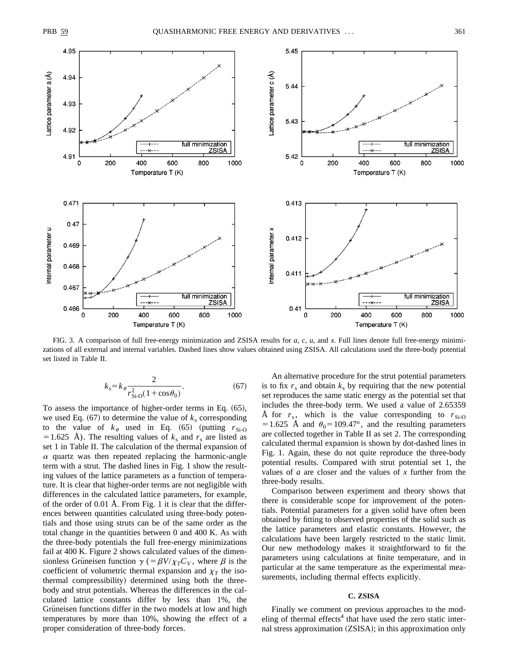

FIG. 3. A comparison of full free-energy minimization and ZSISA results for *a*, *c*, *u*, and *x*. Full lines denote full free-energy minimizations of all external and internal variables. Dashed lines show values obtained using ZSISA. All calculations used the three-body potential set listed in Table II.

$$
k_s = k_\theta \frac{2}{r_{\text{Si-O}}^2 (1 + \cos \theta_0)}.
$$
 (67)

To assess the importance of higher-order terms in Eq.  $(65)$ , we used Eq.  $(67)$  to determine the value of  $k<sub>s</sub>$  corresponding to the value of  $k_{\theta}$  used in Eq. (65) (putting  $r_{Si-O}$  $=1.625$  Å). The resulting values of  $k_s$  and  $r_s$  are listed as set 1 in Table II. The calculation of the thermal expansion of  $\alpha$  quartz was then repeated replacing the harmonic-angle term with a strut. The dashed lines in Fig. 1 show the resulting values of the lattice parameters as a function of temperature. It is clear that higher-order terms are not negligible with differences in the calculated lattice parameters, for example, of the order of 0.01 Å. From Fig. 1 it is clear that the differences between quantities calculated using three-body potentials and those using struts can be of the same order as the total change in the quantities between 0 and 400 K. As with the three-body potentials the full free-energy minimizations fail at 400 K. Figure 2 shows calculated values of the dimensionless Grüneisen function  $\gamma$  (=  $\beta V/\chi_T C_V$ , where  $\beta$  is the coefficient of volumetric thermal expansion and  $\chi_T$  the isothermal compressibility) determined using both the threebody and strut potentials. Whereas the differences in the calculated lattice constants differ by less than 1%, the Grüneisen functions differ in the two models at low and high temperatures by more than 10%, showing the effect of a proper consideration of three-body forces.

An alternative procedure for the strut potential parameters is to fix  $r_s$  and obtain  $k_s$  by requiring that the new potential set reproduces the same static energy as the potential set that includes the three-body term. We used a value of 2.65359 Å for  $r_s$ , which is the value corresponding to  $r_{Si-O}$ =1.625 Å and  $\theta_0$ =109.47°, and the resulting parameters are collected together in Table II as set 2. The corresponding calculated thermal expansion is shown by dot-dashed lines in Fig. 1. Again, these do not quite reproduce the three-body potential results. Compared with strut potential set 1, the values of *a* are closer and the values of *x* further from the three-body results.

Comparison between experiment and theory shows that there is considerable scope for improvement of the potentials. Potential parameters for a given solid have often been obtained by fitting to observed properties of the solid such as the lattice parameters and elastic constants. However, the calculations have been largely restricted to the static limit. Our new methodology makes it straightforward to fit the parameters using calculations at finite temperature, and in particular at the same temperature as the experimental measurements, including thermal effects explicitly.

# **C. ZSISA**

Finally we comment on previous approaches to the modeling of thermal effects<sup>4</sup> that have used the zero static internal stress approximation  $(ZSISA)$ ; in this approximation only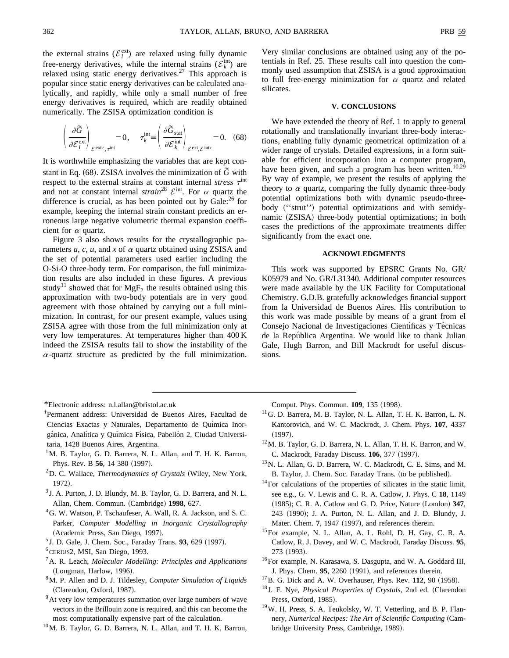the external strains ( $\mathcal{E}_l^{\text{ext}}$ ) are relaxed using fully dynamic free-energy derivatives, while the internal strains ( $\mathcal{E}_k^{\text{int}}$ ) are relaxed using static energy derivatives.<sup>27</sup> This approach is popular since static energy derivatives can be calculated analytically, and rapidly, while only a small number of free energy derivatives is required, which are readily obtained numerically. The ZSISA optimization condition is

$$
\left(\frac{\partial \widetilde{G}}{\partial \mathcal{E}_l^{\text{ext}}}\right)_{\mathcal{E}^{\text{ext}\prime},\tau^{\text{int}}} = 0, \quad \tau^{\text{int}}_k = \left(\frac{\partial \widetilde{G}_{\text{stat}}}{\partial \mathcal{E}_k^{\text{int}}}\right)_{\mathcal{E}^{\text{ext}},\mathcal{E}^{\text{int}\prime}} = 0. \quad (68)
$$

It is worthwhile emphasizing the variables that are kept constant in Eq.  $(68)$ . ZSISA involves the minimization of  $\tilde{G}$  with respect to the external strains at constant internal *stress*  $\tau^{\text{int}}$ and not at constant internal *strain*<sup>28</sup>  $\mathcal{E}^{\text{int}}$ . For  $\alpha$  quartz the difference is crucial, as has been pointed out by  $\text{Gale:}^{26}$  for example, keeping the internal strain constant predicts an erroneous large negative volumetric thermal expansion coefficient for  $\alpha$  quartz.

Figure 3 also shows results for the crystallographic parameters  $a$ ,  $c$ ,  $u$ , and  $x$  of  $\alpha$  quartz obtained using ZSISA and the set of potential parameters used earlier including the O-Si-O three-body term. For comparison, the full minimization results are also included in these figures. A previous study<sup>11</sup> showed that for MgF<sub>2</sub> the results obtained using this approximation with two-body potentials are in very good agreement with those obtained by carrying out a full minimization. In contrast, for our present example, values using ZSISA agree with those from the full minimization only at very low temperatures. At temperatures higher than 400 K indeed the ZSISA results fail to show the instability of the  $\alpha$ -quartz structure as predicted by the full minimization. Very similar conclusions are obtained using any of the potentials in Ref. 25. These results call into question the commonly used assumption that ZSISA is a good approximation to full free-energy minimization for  $\alpha$  quartz and related silicates.

#### **V. CONCLUSIONS**

We have extended the theory of Ref. 1 to apply to general rotationally and translationally invariant three-body interactions, enabling fully dynamic geometrical optimization of a wider range of crystals. Detailed expressions, in a form suitable for efficient incorporation into a computer program, have been given, and such a program has been written.<sup>10,29</sup> By way of example, we present the results of applying the theory to  $\alpha$  quartz, comparing the fully dynamic three-body potential optimizations both with dynamic pseudo-threebody ("strut") potential optimizations and with semidynamic (ZSISA) three-body potential optimizations; in both cases the predictions of the approximate treatments differ significantly from the exact one.

#### **ACKNOWLEDGMENTS**

This work was supported by EPSRC Grants No. GR/ K05979 and No. GR/L31340. Additional computer resources were made available by the UK Facility for Computational Chemistry. G.D.B. gratefully acknowledges financial support from la Universidad de Buenos Aires. His contribution to this work was made possible by means of a grant from el Consejo Nacional de Investigaciones Científicas y Técnicas de la Repu´blica Argentina. We would like to thank Julian Gale, Hugh Barron, and Bill Mackrodt for useful discussions.

- \*Electronic address: n.l.allan@bristol.ac.uk
- † Permanent address: Universidad de Buenos Aires, Facultad de Ciencias Exactas y Naturales, Departamento de Química Inorgánica, Analítica y Química Física, Pabellón 2, Ciudad Universitaria, 1428 Buenos Aires, Argentina.
- <sup>1</sup>M. B. Taylor, G. D. Barrera, N. L. Allan, and T. H. K. Barron, Phys. Rev. B 56, 14 380 (1997).
- <sup>2</sup>D. C. Wallace, *Thermodynamics of Crystals* (Wiley, New York, 1972).
- $3$  J. A. Purton, J. D. Blundy, M. B. Taylor, G. D. Barrera, and N. L. Allan, Chem. Commun. (Cambridge) 1998, 627.
- <sup>4</sup>G. W. Watson, P. Tschaufeser, A. Wall, R. A. Jackson, and S. C. Parker, *Computer Modelling in Inorganic Crystallography* (Academic Press, San Diego, 1997).
- <sup>5</sup> J. D. Gale, J. Chem. Soc., Faraday Trans. **93**, 629 (1997).
- $6$ CERIUS2, MSI, San Diego, 1993.
- 7A. R. Leach, *Molecular Modelling: Principles and Applications* (Longman, Harlow, 1996).
- 8M. P. Allen and D. J. Tildesley, *Computer Simulation of Liquids* (Clarendon, Oxford, 1987).
- $9At$  very low temperatures summation over large numbers of wave vectors in the Brillouin zone is required, and this can become the most computationally expensive part of the calculation.
- 10M. B. Taylor, G. D. Barrera, N. L. Allan, and T. H. K. Barron,

Comput. Phys. Commun. **109**, 135 (1998).

- 11G. D. Barrera, M. B. Taylor, N. L. Allan, T. H. K. Barron, L. N. Kantorovich, and W. C. Mackrodt, J. Chem. Phys. **107**, 4337  $(1997).$
- 12M. B. Taylor, G. D. Barrera, N. L. Allan, T. H. K. Barron, and W. C. Mackrodt, Faraday Discuss. **106**, 377 (1997).
- 13N. L. Allan, G. D. Barrera, W. C. Mackrodt, C. E. Sims, and M. B. Taylor, J. Chem. Soc. Faraday Trans. (to be published).
- <sup>14</sup>For calculations of the properties of silicates in the static limit, see e.g., G. V. Lewis and C. R. A. Catlow, J. Phys. C **18**, 1149 ~1985!; C. R. A. Catlow and G. D. Price, Nature ~London! **347**, 243 (1990); J. A. Purton, N. L. Allan, and J. D. Blundy, J. Mater. Chem. **7**, 1947 (1997), and references therein.
- 15For example, N. L. Allan, A. L. Rohl, D. H. Gay, C. R. A. Catlow, R. J. Davey, and W. C. Mackrodt, Faraday Discuss. **95**, 273 (1993).
- <sup>16</sup>For example, N. Karasawa, S. Dasgupta, and W. A. Goddard III, J. Phys. Chem. 95, 2260 (1991), and references therein.
- <sup>17</sup>B. G. Dick and A. W. Overhauser, Phys. Rev. **112**, 90 (1958).
- <sup>18</sup> J. F. Nye, *Physical Properties of Crystals*, 2nd ed. (Clarendon Press, Oxford, 1985).
- 19W. H. Press, S. A. Teukolsky, W. T. Vetterling, and B. P. Flannery, *Numerical Recipes: The Art of Scientific Computing* (Cambridge University Press, Cambridge, 1989).